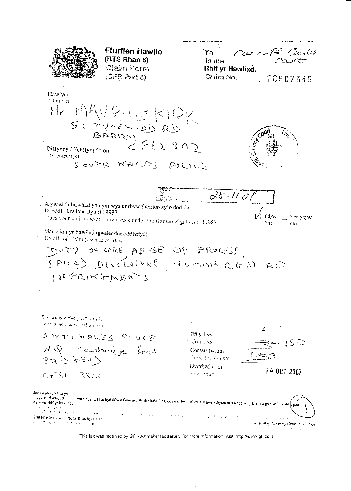nocult Cartel **Ffurflen Hawlio** Yn  $(RTS Rhan 8)$ In the Claim Form Rhif yr Hawliad.  $\left\langle \oplus$   $\mathbb{P}\mathbb{R}$   $\mathbb{P}\text{art}\otimes\right\rangle$ ∴ Claim No. 7CF07345 Hawlydd Claimant MANRICEKIRK  $M_{\mathcal{C}}$ SITUNEWADS RD Diffynnydd/Diffynyddion Defendant(s) SOUTH WALES POLICI  $28.110$ A yw eich hawliad yn cynnwys unrhyw faterion sy'n dod dau Ddeddf Hawliau Dynol 1998? Doos your claim include any issues under the Homan Rights Act 1998? Mac ydyw  $\overline{\text{No}}$ Manylion yr hawliad (gweler drosodd hefyd) Details of claim (see also overleaf) DUTY OF CARE ABUSE OF PROCESS,<br>FAILED DISCLOSURE, NUMAN RIGINE ACT INFRINGMENTS Eow a chyfeiriad y diffynnydd Desembiont's maine on thankings a £ SOUTH WALES POLICE Ffi y llys Court fee  $\rightarrow$  5  $\circlearrowright$ HQ. Converidge feed Costau twrnai **Collider's mark** Dyddiad codi 24 OCT 2007  $CFSI$ BSCL s industrialist siae swyddfa'r llys yn me ar jouw cases in<br>In agored (fang 10 mm a 4 pm o ddydd Llua hyd ddydd Gwener. Wrth chebu a'r llys, cyfeiriwch ffurtiont heu lythyrau at y Rheolwr y Llys os gwelwch yn dd <sup>la</sup>rio si anga p i stričkim kole.<br>Povijetao na bitaka i stoljala obrađajo a i latego i sve oblo i leta iz strti sa obalo gle u i (208 Ffurtien bawlio (RTS Rhan 3) (10.00) a siles **Standard** and they directed degraffwyat ar ran y Gwasanoeth Llys  $\sim$  10

This fax was received by GFI FAXmaker fax server. For more information, visit: http://www.gfi.com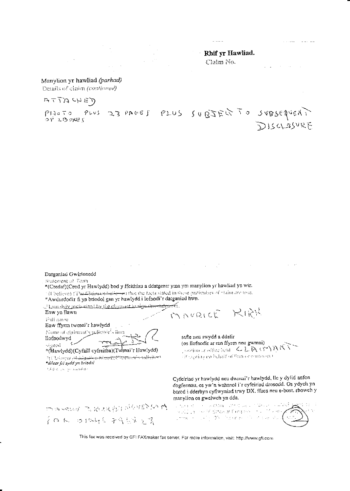|                                                                                   | $\mathbf{r}$ |
|-----------------------------------------------------------------------------------|--------------|
|                                                                                   |              |
| the control of the control of the control of<br><b>Contract Contract Contract</b> |              |
|                                                                                   |              |
| the same product of the same state of the same state of the same state of the     |              |

thif yr Hawliad. Claim No.

 $\sim 10^7$ 

### Manylion yr hawliad (parhad) Details of claim (continued)

ATTACHED

 $3380001$  PLUS SUBJEG TO SUBSEqUERT  $P13a 50$   $P143$ <br> $P13a$   $P145$ DISCLOSURE

Datganiad Gwirionedd

Statement of Taith.

\*(Credaf)(Cred yr Hawlydd) bod y ffeithiau a ddatgenir yma ym manylion yr hawliad yn wir. <sup>5</sup> (Ubelieve) (The Chiman-mationer) that the facts stated in these particulars of chain are true. \*Awdurdodir fi yn briodol gan yr hawlydd i lofnodi'r datganiad hwn.

...Phan-hav muborised by the alignment to sign data-strights of . MAVRICE RIPY Enw yn llawn Pull saure Enw ffyrm twrnai'r hawlydd Nome of claimant's sulicator's firm safie neu swydd a ddelir llofnodwyd (os llofnodir ar ran ffyrm neu gwmni)  $\epsilon$ signed Assignment of the second LLA GAMART \*(Hawlydd)(Cyfaill cyfreitha)(Twrnai'r Hawlydd) .<br>Tragedina no buhaif of firm or commonly? 76 (Belangs al Lagaret Alexandric Charmaches Solicitory \*dileer fel sydd yn briodol  $\tilde{e}_1\tilde{h}\tilde{g}_1\tilde{g}_1\tilde{g}_2\tilde{g}_2\tilde{g}_3\tilde{g}_4\tilde{g}_5\tilde{g}_6\tilde{g}_7\tilde{g}_8\tilde{g}_9\tilde{g}_9\tilde{g}_9\tilde{g}_9\tilde{g}_9\tilde{g}_9$ Cyfeiriad yr hawlydd neu dwrnai'r hawlydd, lle y dylid anfon dogfennau, os yw'n wahanol i'r cyfeirind drosodd. Os ydych yn barod i dderbyn cyflwyniad trwy DX. ffacs neu e-bost, rhowch y manylion os gwelwch yn dda. 四两头就好 医脑块状部位的外部的 The property of the consent that is a first consent to the con-المعامل والمنافذ in All La complet situació forma any color de l'electronic<br>La taxonomie de la final de la color de la color de la その人 めちみん 子を見える家

This fax was received by GFI FAXmaker fax server. For more information, visit: http://www.gfi.com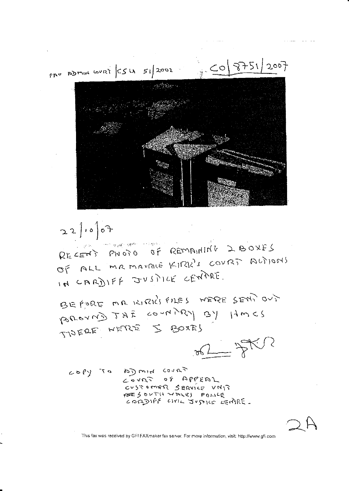$3751/2007$  $|0\rangle$ PAO ADMIN WURT CSU 51/2002

 $22$   $1000$ RECENT PHOTO OF REMAINING 2BOXES OF ALL MRMANALE KIRK'S COVRT ALTIONS IN CARDIFF JUSTICE CENTRE.

BEFORE MA KIRKISTLES WERE SEMI OUT PODOVNE COUNTRY BY HUCS TIDERE WERE 5 BOXES

 $\frac{1}{\sqrt{2\pi}}$ 

roation to very of blashor CUSTOMER SERVICE VNIT PESONTH WALES POLICE

This fax was received by GFI FAXmaker fax server. For more information, visit: http://www.gfi.com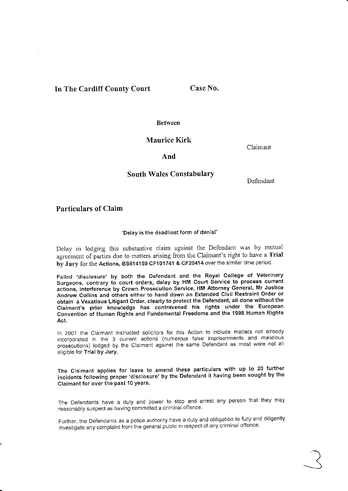# In The Cardiff County Court Case No.

**Between** 

Maurice Kirk

Claimant

## And

## South Wales ConstabularY

Defendant

## Particulars of Claim

### "Delay is the deadliest form of denial"

Delay in lodging this substantive claim against the Defendant was by mutual agreement of parties due to matters arising from the Claimant's right to have a Trial by Jury for the Actions, BS614159 CF101741 & CF20414 over the similar time period.

Failed 'disclosure' by both the Defendant and the Royal College of Veterinary Surgeons, contrary to courl orders, delay by HM Court Service to process current actions, interference by Crown Prosecution Service, HM Attorney General, Mr Justice Andrew collins and others either to hand down an Extended civil Restraint order or obtain a Vexatious Litigant Order, clearly to protect the Defendant, all done without the Claimant's prior knowledge has contravened his rights under the European Convention ot Human Rights and Fundamental Freedoms and the 1998 Human Rights Act.

In 2001 the Claimant instructed solicitors for this Action to include matters not already incorporated in the 3 current actions (numerous false imprisonments and malicious prosecutions) lodged by the Claimant against the same Defendant as most were not all eiigible for Trial by Jury.

The Claimant applies for leave to amend these particulars with up to 20 further incidents following proper 'disclosure' by the Defendant it having been sought by the Claimant for over the past 10 years'

The Defendants have a duty and power to stop and arrest any person that they may reasonably suspect as having committed a criminal offence

Further, the Defendants as a police authority have a duty and obligation to fully and diligently investigate any complaint from the general public in respect of any criminal offence.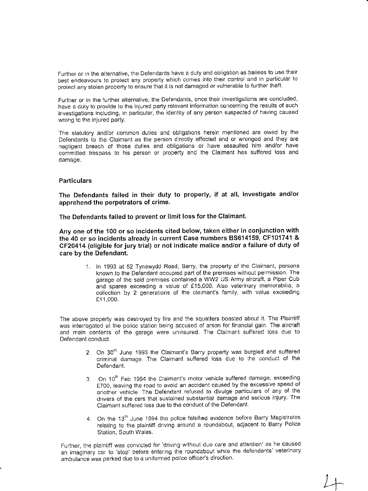Further or in the alternative, the Defendants have a duty and obligation as bailees to use their best endeavours to protect any property which comes into their control and in particular to protect any stolen property to ensure that it is not damaged or vulnerable to further theft.

Further or in the further alternative, the Defendants, once their investigations are concluded, have a duty io provide to the injured party relevant information concerning the results of such investigalions includjng, in particular, the identity of any person suspected of having caused wrong to the injured party.

The siatutory andlor common duties and obligations herein mentioned are owed by the Defendants to the Claimant as the person directly affected and or wronged and they are negligent breach of those duties and obligations or have assaulted him and/or have committed irespass to his person or property and the Clajmant has suffered loss and damage.

#### **Particulars**

The Defendants failed in their duty to properly, if at all, investigate and/or apprehend the perpetrators of crime.

The Defendants failed to prevent or limit loss for the Claimant.

Any one of the 100 or so incidents cited below, taken either in conjunction with the 40 or so incidents already in current Case numbers 85614159, Cf101741 & CF20414 (eligible for jury trial) or not indicate malice and/or a failure of duty of care by the Defendant.

> 1. In '1993 at 52 Tynewydd Road, Barry, the property of the claimant, persons known to the Defendant occupied part of the premises without permission. The garage of the said premises contained a WW2 US Army aircraft, a Piper Cub and spares exceeding a value of €15,000. Also veierinary memorabilia, <sup>a</sup> collection by 2 generations of the claimant's family, with value exceeding £11,000.

The above property was destroyed by fire and the squalters boasted about ii. The Plaintiff was interrogated at the police station being accused of arson for financial gain. The aircraft and main contents of the garage were uninsured. The Claimant suffered loss due to Defendant conduct.

- 2. On 30<sup>th</sup> June 1993 the Claimant's Barry property was burgled and suffered criminal damage The Claimant suffered loss due to the conduct of the Defendant.
- 3. On 10<sup>th</sup> Feb 1994 the Claimant's motor vehicle suffered damage, exceeding £700, leaving the road to avoid an accident caused by the excessive speed of another vehicle. The Defendant refused to divulge particulars of any of the drivers of the cars that sustained substantial damage and serious injury. The Claimant suffered loss due to the conduct of the Defendant.
- 4. On the 13<sup>th</sup> June 1994 the police falsified evidence before Barry Magistrates relating to the plaintiff driving around a roundabout, adjacent to Barry Police Station, South Wales.

Further, the plaintiff was convicted for 'driving without due care and attention' as he caused an imaginary car to 'siop' before entering lhe roundabout while the defendants' veterinary ambulance was parked due to a uniformed police officer's direction.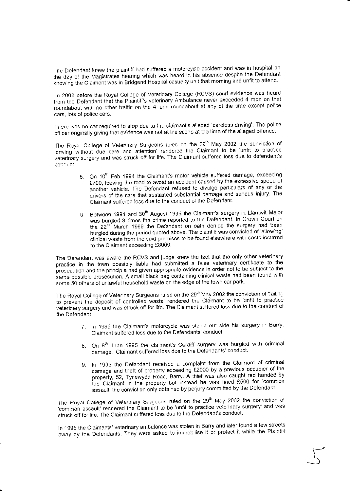The Defendant knew the plaintiff had suffered a motorcycle accident and was in hospital on the day of the Magistrates hearing which was heard in his absence despite the Defendant knowing the Claimant was in Bridgend Hospital casualty unit that morning and unfit to attend.

ln 2002 before the Royal College of Veterinary College (RCVS) court evidence was heard from the Defendant that the Plaintiff's veterinary Ambulance never exceeded 4 mph on that roundabout with no other traffic on the 4 lane roundabout at any of the time except police cars. lots of oolice cars.

There was no car required to stop due to the claimant's alleged 'careless driving'. The police officer ofiginally giving that evidence was not at the scene at the time of the alleged offence.

The Royal College of Veterinary Surgeons ruled on the 29<sup>th</sup> May 2002 the conviction of 'driving without due care and attention' rendered the Claimant to be 'unfit to practice veteriiary sufgery and was struck off for life. The Claimant suffered loss due to defendant's conduct.

- 5. On 10<sup>th</sup> Feb 1994 the Claimant's motor vehicle suffered damage, exceeding £700, leaving the road to avoid an accident caused by the excessive speed of another vehicle. The Defendant refused to divulge particulars of any of the drivers of the cars that sustained substantial damage and serious injury. The Claimant suffered loss due to the conducl of ihe Defendanl
- 6. Between 1994 and 30<sup>th</sup> August 1995 the Claimant's surgery in Llantwit Major was burgled 3 times the crime reported to the Defendant. In Crown Court on the 22<sup>nd</sup> March 1996 the Defendant on oath denied the surgery had been burgled during the period quoted above. The plaintiff was convicted of 'allowing' cllnical waste from lhe said premises to be found elsewhere with costs incurred to the Claimant exceeding £8000.

The Defendant was aware the Rcvs and judge knew ihe fact that the only other veterinary practice in lhe town possibly liable had submilted a false veterinary certificate to the prosecution and the principle had given appropriate evidence in order not to be subject to the same possible prosecution. A small black bag containing clinical waste had been found with some 50 others of unlawful household waste on the edge of the town car park.

The Royal College of Veterinary Surgeons ruled on the 29<sup>th</sup> May 2002 the conviction of 'failing to prevent the deposit of controlled waste' rendered the Claimant to be 'unfit to practice veterinary surgery and was struck off for life. The Claimant suffered loss due to the conduct of the Defendant.

- 7. In 1995 the Claimant's motorcycle was stolen out side his surgery in Barry' Claimant suffered loss due lo the Defendants'conducl
- 8. On 8<sup>th</sup> June 1995 the claimant's Cardiff surgery was burgled with criminal damage. Claimant suffered loss due to the Defendants' conduct.
- 9, In 1995 the Defendani received a complaint from the Claimant of criminal damage and theft of property exceeding £2000 by a previous occupier of the property, 52, Tynewydd Road, Barry. A thief was also caught red handed by the Claimant in the property but instead he was fined £500 for 'common assault' the conviction only obtained by periury committed by the Defendant.

r

-)

The Royal College of Veterinary Surgeons ruled on the  $29<sup>th</sup>$  May 2002 the conviction of The Royal College of Veterinary Surgeons fulled on the 23 may 2002 the common assault rendered the Claimant to be 'unfit to practice veterinary surgery' and was struck off for life. The Claimant suffered loss due to the Defendant's conduct

In 1995 the Claimants' veterinary ambulance was stolen in Barry and later found a few streets away by ihe Defendants. They were asked to immobllise it or prolect it while the Plaintiff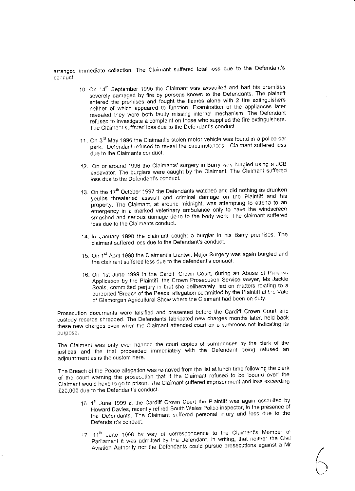arranged immediate collection. The Claimant suffered total loss due to the Defendant's conduct.

- 10. On 14<sup>th</sup> September 1995 the Claimant was assaulted and had his premises severely damaged by fire by persons known to the Oefendants The plainiiff entered the premises and fought the flames alone with 2 fire extinguishers neither of which appeared to function. Examination of the appliances later revealed they were both faulty missing internal mechanism. The Defendant refused to investigate a complaint on those who supplied the fire extinguishers. The Claimant suffered loss due to the Defendant's conduct.
- 11. On 3<sup>rd</sup> May 1996 the Claimant's stolen motor vehicle was found in a police car park. Defendant refused to reveal the circumstances Claimant suffered loss due to the Claimants conduct.
- 12. On or around 1996 the Claimants' surgery in Bafry was burgled using a JCB excavator. The burglars were caught by the Claimant. The Claimant suffered loss due to the Defendant's conduct.
- 13. On the 17<sup>th</sup> October 1997 the Defendants watched and did nothing as drunken youths threatened assault and criminal damage on the Plaintiff and his property. The Claimant, at around midnight, was attempting to attend to an emergency in a marked veterinary ambulance only to have the windscreen smashed and serious damage done to the body work The claimant suffered loss due to the Claimants conduct.
- 14. ln January 1998 the claimant caught a burglar in his Barry premises The claimant suffered loss due to the Defendant's conduct.
- 15. On 1<sup>st</sup> April 1998 the Claimant's Llantwit Major Surgery was again burgled and the claimant sufiered loss due to ihe defendant's conduct
- 16. On 1st June 1999 in the Cardiff Crown Court, during an Abuse of Process Application by the Plaintiff, the Crown Prosecution Service lawyer, Ms Jackie Seals, commilted perjury in that she deliberately lied on matters relating to <sup>a</sup> purported 'Breach of the Peace' allegation committed by the Plaintiff at the Vale of Glamorgan Agricultural Show where the Claimant had been on duty.

Prosecution documents were falsified and presented before the Cardiff Crown Court and custody records shredded. The Defendants fabricated new charges monihs later, held back these new charges even when the Claimant attended court on a summons not indicating its purpose.

The Claimant was only ever handed the court copies of summonses by the clerk of the justices and the trial proceeded immediately with the Defendant being refused an adjournment as is the custom here.

The Breach of the Peace allegation was removed from the list at lunch time following the clerk of the couri warning the prosecution thai if the Claimant refused to be'bound over' the Claimant would have to go to prison. The Claimant suffered imprisonment and loss exceeding £20,000 due to the Defendant's conduct.

- 16 1<sup>st</sup> June 1999 in the Cardiff Crown Court the Plaintiff was again assaulted by<br>16 The Plant Late the consective price of South Wales Police inspector, in the presence of Howard Davies, recently retired South Wales Police inspector, in the presence of the Defendants. The Claimant suffered personal injury and loss due to the Defendant's conduct.
- 17 11<sup>th</sup> June 1998 by way of correspondence to the Claimant's Member of Parliament it was admitted by the Defendant, in writing, that neither the Civil Aviation Authority nor the Defendants could pursue prosecutions against a Mr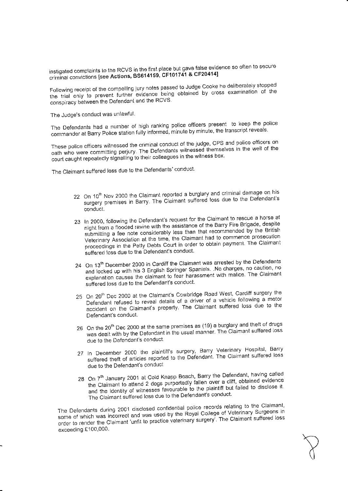instigated complaints to the RCVS in the first place but gave false evidence so often to secure criminal convictions [see Actions, BS614159, CF101741 & CF20414]

Following receipt of the compelling jury notes passed to Judge Cooke he deliberately stopped the trial only to prevent further evidence being obtained by cross examination of the conspiracy between the Defendant and the RCVS.

The Judge's conduct was unlawful.

The Defendants had a number of high ranking police officers present to keep the police commander at Barry Police station fully informed, minute by minute, the transcript reveals.

These police officers witnessed the criminal conduct of the judge, CPS and police officers on oath who were committing perjury. The Defendants witnessed themselves in the well of the court caught repeatedly signalling to their colleagues in the witness box.

The Claimant suffered loss due to the Defendants' conduct.

- 22 On 10<sup>th</sup> Nov 2000 the Claimant reported a burglary and criminal damage on his surgery premises in Barry. The Claimant suffered loss due to the Defendant's conduct.
- 23 In 2000, following the Defendant's request for the Claimant to rescue a horse at night from a flooded ravine with the assistance of the Barry Fire Brigade, despite submitting a fee note considerably less than that recommended by the British Veterinary Association at the time, the Claimant had to commence prosecution proceedings in the Petty Debts Court in order to obtain payment. The Claimant suffered loss due to the Defendant's conduct.
- 24 On 13<sup>th</sup> December 2000 in Cardiff the Claimant was arrested by the Defendants and locked up with his 3 English Springer Spaniels. No charges, no caution, no explanation causes the claimant to fear harassment with malice. The Claimant suffered loss due to the Defendant's conduct.
- 25 On 20<sup>th</sup> Dec 2000 at the Claimant's Cowbridge Road West, Cardiff surgery the Defendant refused to reveal details of a driver of a vehicle following a motor accident on the Claimant's property. The Claimant suffered loss due to the Defendant's conduct.
- 26 On the 20<sup>th</sup> Dec 2000 at the same premises as (19) a burglary and theft of drugs was dealt with by the Defendant in the usual manner. The Claimant suffered loss due to the Defendant's conduct.
- 27 In December 2000 the plaintiff's surgery, Barry Veterinary Hospital, Barry suffered theft of articles reported to the Defendant. The Claimant suffered loss due to the Defendant's conduct
- 28 On 7<sup>th</sup> January 2001 at Cold Knapp Beach, Barry the Defendant, having called the Claimant to attend 2 dogs purportedly fallen over a cliff, obtained evidence and the identity of witnesses favourable to the plaintiff but failed to disclose it. The Claimant suffered loss due to the Defendant's conduct.

The Defendants during 2001 disclosed confidential police records relating to the Claimant, some of which was incorrect and was used by the Royal College of Veterinary Surgeons in order to render the Claimant 'unfit to practice veterinary surgery'. The Claimant suffered loss exceeding £100,000.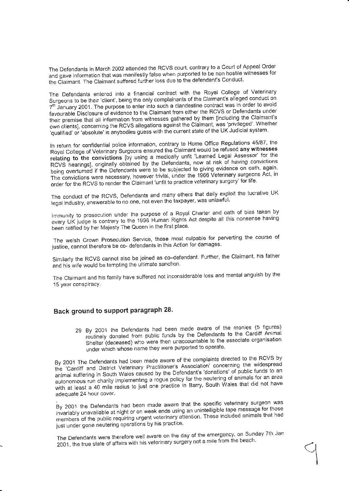The Defendants in March 2002 attended the RCVS court, contrary to a Court of Appeal Order and gave information that was manifestly false when purported to be non hostile witnesses for the Claimant. The Claimant suffered further loss due to the defendant's Conduct.

The Defendants entered into a financial contract with the Royal College of Veterinary Surgeons to be their 'client', being the only complainants of the Claimant's alleged conduct on 7<sup>th</sup> January 2001. The purpose to enter into such a clandestine contract was in order to avoid favourable Disclosure of evidence to the Claimant from either the RCVS or Defendants under their premise that all information from witnesses gathered by them [including the Claimant's own clients], concerning the RCVS allegations against the Claimant, was 'privileged'. Whether 'qualified' or 'absolute' is anybodies guess with the current state of the UK Judicial system.

In return for confidential police information, contrary to Home Office Regulations 45/87, the Royal College of Veterinary Surgeons ensured the Claimant would be refused any witnesses relating to the convictions [by using a medically unfit 'Learned Legal Assessor' for the RCVS hearings], originally obtained by the Defendants, now at risk of having convictions being overturned if the Defendants were to be subjected to giving evidence on oath, again. The convictions were necessary, however trivial, under the 1966 Veterinary surgeons Act, in order for the RCVS to render the Claimant 'unfit to practice veterinary surgery' for life.

The conduct of the RCVS, Defendants and many others that daily exploit the lucrative UK legal industry, answerable to no one, not even the taxpayer, was unlawful.

Immunity to prosecution under the purpose of a Royal Charter and oath of bias taken by every UK judge is contrary to the 1998 Human Rights Act despite all this nonsense having been ratified by her Majesty The Queen in the first place.

The welsh Crown Prosecution Service, those most culpable for perverting the course of justice, cannot therefore be co- defendants in this Action for damages.

Similarly the RCVS cannot also be joined as co-defendant. Further, the Claimant, his father and his wife would be tempting the ultimate sanction.

The Claimant and his family have suffered not inconsiderable loss and mental anguish by the 15 year conspiracy.

# Back ground to support paragraph 28.

29 By 2001 the Defendants had been made aware of the monies (5 figures) routinely donated from public funds by the Defendants to the Cardiff Animal Shelter (deceased) who were then unaccountable to the associate organisation under which whose name they were purported to operate.

By 2001 The Defendants had been made aware of the complaints directed to the RCVS by the 'Cardiff and District Veterinary Practitioner's Association' concerning the widespread animal suffering in South Wales caused by the Defendant's 'donations' of public funds to an autonomous run charity implementing a rogue policy for the neutering of animals for an area with at least a 40 mile radius to just one practice in Barry, South Wales that did not have adequate 24 hour cover.

By 2001 the Defendants had been made aware that the specific veterinary surgeon was invariably unavailable at night or on week ends using an unintelligible tape message for those members of the public requiring urgent veterinary attention. These included animals that had just under gone neutering operations by his practice.

The Defendants were therefore well aware on the day of the emergency, on Sunday 7th Jan 2001, the true state of affairs with his veterinary surgery not a mile from the beach.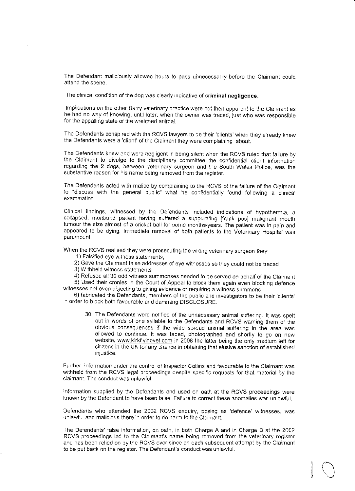The Defendant maliciously allowed hours to pass uhnecessarily before the Claimant could attend the scene.

The clinical condition of the dog was clearly indicative of criminal negligence.

lmplications on the other Barry veterinary practice were not then apparent io the Claimant as he had no way of knowing, until later, when the owner was traced, just who was responsible for the appalling state of the wretched animal.

The Defendants conspired with the RCVS lawyers to be iheir 'ctients' when they already knew the Defendants were a 'client' of the Claimant they were complaining aboul.

The Defendants knew and were negligent in being silent when the RCVS ruled that failure by the Claimant to divulge to the disciplinary committee the confidential client information regarding the 2 dogs, between veterinary surgeon and the South Wales Police, was the substantive reason for his name being removed from the reglsier.

The Defendants acled with malice by complaining to the RCVS of the faiture of the Clajmant to "dlscuss with the general public" what he confidentially found following a ctinicai examination.

Cllnical findings, witnessed by the Defendants included indications of hypothermia, <sup>a</sup> collapsed, moribund patlent having sulfered a suppuraiing lfrank pusl matignant mouth tumour the size almost of a cricket ball for some months/years. The patient was in pain and appeared to be dying. lmmediate removal of both patients to the Veterinary Hospital was paramount.

When the RCVS realised they were prosecuting the wrong veterinary surgeon they:

- '1) Falsitied eye witness statements,
- 2) Gave the Claimant false addresses of eye witnesses so they could not be traced
- 3) Withheld wilness statements
- 4) Refused all 30 odd witness summonses needed to be served on behalf of the Claimant

5) Used lheir cronies in the Court of Appeal to block them again even blocking defence witnesses not even objecting to giving evidence or requiring a witness summons

6) fabricated the Defendants, members of the public and investigators to be their 'clients' in order to block both favourable and dammjng DISCLOSURE.

30 The Defendanls were notrfied of ths unnecessary animal suffering. lt was spelt out in words of one syllable lo the Defendants and RCVS warning lhem of the obvious consequences if lhe wide spread animal suffering in the area was allowed to continue. li was taped, photographed and shorfly to go on new website, www.kirkflyingvet.com in 2008 the latter being the only medium left for citizens in the UK for any chance in obtaining that elusive sanction of established injusiice.

Further, informalion under the control of lnspeclor Collins and favourable to the Claimant was withheld from the RCVS legal proceedings despite specific requests for thal material by the claimant. The conduct was unlawful.

lnformation supplied by the Defendants and used on oath at the RCVS proceedings were known by the Defendant to have been false. Failure to correct these anomalies was unlawful.

Defendants who atlended the 2002 RCVS enquiry, posing as 'defence' witnesses, was unlawful and malicious there in order to do harm to the Claimant.

The Defendants' false information, on oalh, in both Charge A and in Charge B at lhe 2002 RCVS proceedings led io the Claimant's name being removed from the veterinary register and has been relied on by the RCVS ever since on each subsequent attempi by the Claimanl to be put back on the register. The Defendant's conduct was unlawful.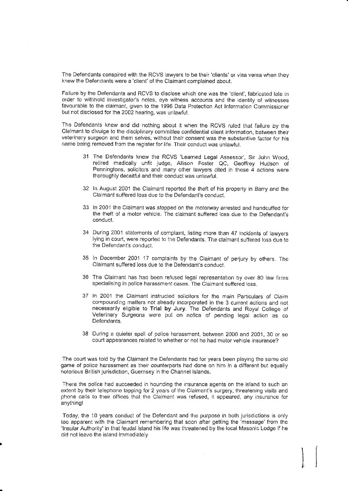The Defendants conspired with the RCVS iawyers to be their'clients'or visa versa when they knew the Defendants were a 'client' of the Claimant complained about.

Failure by the Defendants and RCVS to disclose whlch one was ihe'client', fabricated lale in order to withhold investigator's notes, eve witness accounts and the identity of witnesses favourable to the claimant, given to the 1996 Data Protection Act Information Commissioner bul not disclosed for the 2002 hearing, was unlawful.

The Defendants knew and did nothing about it when the RCVS ruled that failure by the Claimant to divulge to the disciplinary committee confidential client information, between their veterinary surgeon and them selves, without their consent was the substantive factor for his name being removed from the register for life. Their conduct was unlawful.

- 31 The Defendants knew the RCVS 'Learned Legal Assessor', Sir John Wood, retired medically unfit judge, Allison Foster QC, Geoffrey Hudson of Penningtons, solicitors and many other lawyers cited in these  $\overline{4}$  actions were thoroughly deceitful and their conduct was unlawful.
- 32 In August 2001 the Claimant reported the theft of his property in Barry and the Claimant suffered loss due to the Defendant's conduct.
- 33 In 2001 the Clairnanl was stopped on the motorway arrested and handcuffed for the theft of a motor vehicle. The claimant suftered loss due to the Defendant's conduct.
- During 2001 statements of complaint, listing more than 47 incidents of iawyers lying in court, were reported to the Defendants. The claimant suffered loss due to the Defendant's conduct.
- 35 In December 2001 17 complaints by the Claimant of perjury by others. The Claimant suFfered loss due io the Defendanl's conduct.
- The Claimanl has had been refused legal representation by over 80 law fifrns 36 specialising in police harassment cases. The Claimant suffered loss.
- 37 In 2001 the Claimant instructed solicitors for the main Particulars of Claim compounding matters not already incorporated in the 3 current actions and not necessarily eligible to Trial by Jury. The De{endants and Royal College of Veterinary Surgeons were put on notice of pending legal action as co Defendants.
- 38 During a quieter spell of police harassmenl, between 2000 and 2001, 30 or so court appearances related to whether or not he had motor vehicle insurance?

The court was told by the Claimant the Defendants had for years been playing the same old game of police harassment as their counterparts had done on him in a dilferent but equally notorious British jurisdiction, Guernsey in the Channel Islands.

There the police had succeeded in hounding the insurance agents on the island io such an extent by their telephone tapping for 2 years of the Claimant's surgery, threatening visits and phone calls to their offices that lhe Claimant was refused, it appeared, any insurance for anything!

Today, the 10 years conduct of the Defendant and the purpose in both jurisdictions is only too apparent with the Claimant remembering that soon after getting the 'message' from the 'lnsular Authority' in that feudal island his life was threatened by the local Masonic Lodge if he did not leave the island immediately.

 $\mathcal{L}$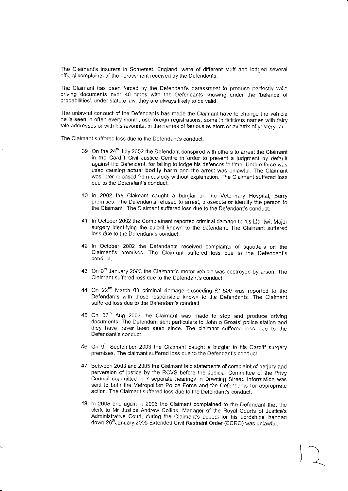The Claimant's insurers in Somerset, England, were of different stuff and lodged several official complaints of the harassment received by the Defendants.

The Claimant has been forced by ihe Defendant's harassmeni to produce perfectly valid driving documents over 40 times wilh the Defendanls knowing under the 'balance of probabilities', under siatuie law, they are always likely to be valid.

The unlawful conduct of the Defendants has made the Claimant have to change the vehicle he is seen in oflen every month, use foreign registrations, some in fictitious names with fairy tale addresses or with his favourite, in the names of famous aviators or aviatrix of vestervear.

The Claimant suffered loss due to ihe Defendant's conduct.

- 39 On the 24<sup>th</sup> July 2002 the Defendant conspired with others to arrest the Claimant in the Cardiff Civil Justice Centre in order to prevent a judgment by default against ihe Defendant, for failing to lodge his defences in time. Undue force was used causing actual bodily harm and the arrest was unlawful. The Claimant was Iater reieased from custody wiihout explanation. The Claimant suffered loss due to the Defendant's conduct.
- 40 ln 2002 ihe Claimant caught a burglar on the Veterinary Hospital, Barry premises. The Deiendanls refused to arrest, prosecute or identify the person io the Claimant. The Claimant suffered loss due to the Defendani's conduct.
- 41 In October 2002 the Complainant reported criminal damage to his Llantwit Major surgery identifying the culprit known to the defendant. The Claimant suffered loss due to the Defendant's conduct.
- 42 In October 2002 the Defendants received complaints of squatters on the Claimant's premises. The Claimant suffered loss due to the Defendant's conduct.
- 43 On 9<sup>th</sup> January 2003 the Claimant's motor vehicle was destroyed by arson. The Claimant suffered loss due to the Defendant's conduct.
- 44 On  $22^{nd}$  March 03 criminal damage exceeding £1,500 was reported to the Defendants with those responsible known to the Defendants. The Claimant suffered loss due to the Defendant's conduct.
- 45 On 07<sup>th</sup> Aug 2003 the Claimant was made to stop and produce driving documents. The Defendant sent particulars to John o Groats' police station and they have never been seen since. The claimant suffered loss due to the Defendant's conduct
- 46 On 9<sup>th</sup> September 2003 the Claimant caught a burglar in his Cardiff surgery premises. The claimant suffered loss due to the Defendani's conduct.
- 47 Between 2003 and 2005 the Claimant laid statements of complaint of perjury and perversion of justice by the RCVS before the Judicial Committee of the Privy Council committed in 7 separate hearings in Downing Street. Information was sent to both the Metropolitan Police Force and the Defendants for appropriate action. The Claimant suffered loss due to the Defendant's conduct.
- 48 In 2005 and again in 2006 the Claimant comptained to the Defendant that the clerk to Mr Justice Andrew Collins, Manager of the Royal Courts of Justice's Administrative Court, during the Claimant's appeal for his Lordships' handed down 26<sup>th</sup>January 2005 Extended Civil Restraint Order (ECRO) was unlawful.

 $\begin{pmatrix} 1 \\ 1 \end{pmatrix}$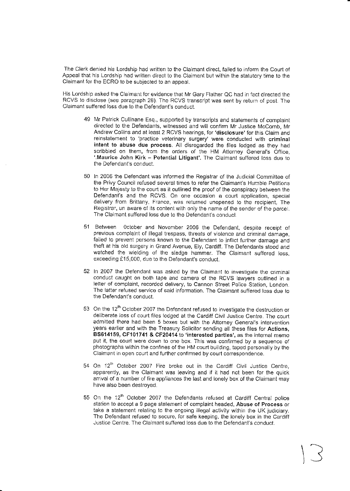The Clerk denied his Lordship had written to the Claimant direct, failed to inform the Court of Appeal that his Lordship had written direct to the Claimant but within the statutory time to the Claimant for the ECRO to be subjected to an appeal.

His Lordship asked the Claimant for evidence that Mr Gary Flather QC had in fact direcied the RCVS lo disclose (see paragraph 2B). The RCVS transcript was sent by return of post. The Claimant suffered loss due to the Defendant's conduct.

- 49 Mr Patrick Cullinane Esq., supported by transcripts and statements of complaint directed to the Defendants, witnessed and will confirm Mr Justice McComb, Mr Andrew Collins and at least 2 RCVS hearings, for 'disclosure' for this Claim and reinstatement to 'practice veterinary surgery' were conducted with criminal intent to abuse due process. All disregarded the files lodged as they had scribbled on them, from the orders of the HM Attorney General's Office, '.Maurice John Kirk - Potential Litigant'. The Claimant suffefed loss due to the Defendant's conduct.
- 50 In 2006 lhe Defendant was informed the Registrar of the Judicial Committee of the Privy Council refused severai times to refer the Claimant's Humble peiitions to Her Majesty to the courl as it outlined the proof of tho conspiracy between the Defendant's and the RCVS. On one occasion a court application, special delivery from Brittany, France, was returned unopened to ihe recipient, The Registrar, un aware of its content with only the name of the sender of the parcel. The Claimant suffered loss due to the Defendant's conduct.
- 51 Between october and November 2006 the Deiendani, despite receipt of previous complaint of illegal trespass, threats of violence and criminal damage, failed to prevent persons known to the Defendant to inflict further damage and theft at his old surgery in Grand Avenue, Ely, Cardiff. The Defendants stood and watched the wielding of the sledge hammer. The Claimant suffered loss, exceeding £15,000, due to the Defendant's conduct.
- 52 In 2007 the Defendant was asked by the Claimant to investigate the criminal conduct caught on both tape and camera of the RCVS lawyers ouflined in a letter of complaint, recorded delivery, to Cannon Street Police Station, London. The iatter refused service of said information. The Claimant suffered loss due lo the Defendant's conduct.
- 53 On the 12'" October 2007 the Defendant refused to investiqate the destruction or deliberate loss of court files lodged at the Cardiff Civit Jusiicc Centre. The court admitted there had been 5 boxes but with the Attorney General's intervention years earlier and with the Treasury Solicitor sending all these files for Actions, BS614159, CF101741 & CF20414 to 'interested parties', as the internal memo put it, the court were down to one box. This was confirmed by a sequance of photographs within the confines of the HM court building, taped personally by the Claimant in open court and further confirmed by court correspondence.
- 54 On 12<sup>th</sup> October 2007 Fire broke out in the Cardiff Civil Justice Centre, apparently, as the Claimant was leaving and if it had not been for the quick arrival of a number of fire appliances the last and lonely box of the Claimant may have also been destroyed.
- 55 On the 12<sup>th</sup> October 2007 the Defendants refused at Cardiff Central police station to accept a 9 page statement of complaint headed, Abuse of Process or take a slatement relating io the ongoing illegal activity wiihir the UK judiciary. The Defendant refused to secure, for safe keeping, the lonely box in the Cardiff Justice Cenlre. The Claimant suffered loss due to ihe Defendant's conduct.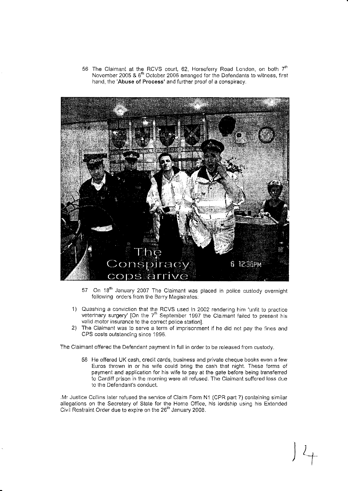56 The Claimant at the RCVS court, 62, Horseferry Road London, on both  $7<sup>th</sup>$ November 2005 & 6'" October 2006 arranged for the Defendants to witness, first hand, the 'Abuse of Process' and further proof of a conspiracy,



- 57 On 18<sup>th</sup> January 2007 The Claimant was placed in police custody overnight following orders from the Barry Magistrates:
- 1) Quashing a conviction that the RCVS used in 2002 rendering him 'unfit to practice veterinary surgery' [On the 7<sup>th</sup> September 1997 the Claimant failed to present his valid motor insurance to the correct police station].
- 2) The Claimant was to serve a term of imprisonment if he did not pay the fines and CPS costs outstanding since 1996.

The Claimant offered the Defendant payment in full in order to be feleased from custody.

58 He offered UK cash, credit cards, business and private cheque books even a few Furos thrown in or his wife could bring the cash ihat night. These forms of payment and application for his wife to pay at the gate before being transferred to Cardiff prison in the morning were all refused. The Claimant suffered loss due to the Defendant's conduct.

 $\frac{1}{2}$ 

.Mr Justice Collins later refused the service of Claim Form N1 (CPR part 7) containing similar allegations on the Secretary o{ State for the Home Office, his lordship using his Extended Civil Restraint Order due to expire on the 26<sup>th</sup> January 2008.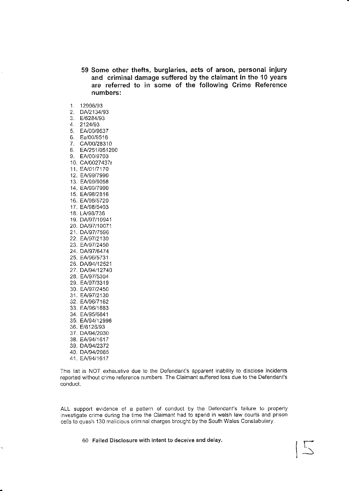- 59 Some other thefts, burglaries, acts of arson, personal injury and criminal damage suffered by the claimant in the 10 years are referred to in some of the following Crime Reference numbers:
- 
- 1. 12996/93<br>2. DA/2134/93 2. DA/2134/93<br>3. E/6284/93
- 
- $4. 2124/93$
- 5. EA/00/9637
- 6. Ea/00/9516
- 7. CA/00/28310
- 8. EA/251/051200<br>9. EA/00/9703
- 10. CA/0027437r
- 11. EA/01/7170
- 12. EN9917990
- 13. EA/99/9058
- 14. EAl99/7990
- 15. EA/98/2816
- 16. EA/98/5720
- 17. EA/98/5403
- 18. LAJ9B/736
- 19. DA/97/10941
- 20. DA/97/10071
- 21. DA/97/7596
- 22. EA/97/2130
- 23. EA/97/2450
- 24. DN97/6474 25. EA/96/5731
- 26. DN94112521
- 27. DA/94/12740
- 28. EA/97/5304
- 29. EN97/3319
- 30. EA/97/2450
- 31. EA/97/2130
- 32. EA/96/7162
- 33. EAl96/1883
- 34. EA/95/6841
- 35. EA/94/12996
- 36. E/8126/93
- 37, DA/94/2030
- 38. EA/94/1617 39. DA/94/2372
- 40. DA/94/2085
- 41. EA/94/1617

This lisl is NOT exhaustive due to the Defendant's apparent inability to disclose incidenls reported wilhout crime reference numbers. The Claimant su{fered loss due to the Defendant's conduct.

ALL support evidence of a pattern ot conduci by the Defendant's fajlure to properly investigate crime during the time the Claimant had to spend in welsh law courls and prison cells to quash 130 malicious criminal charges brought by the South Wales Constabulary.

r--f

60 Failed Disclosure with intent to deceive and delay.